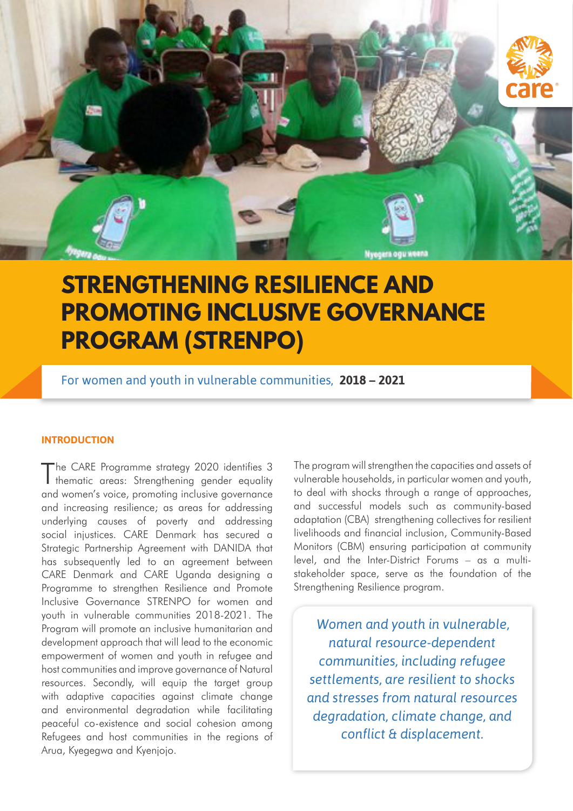

# **STRENGTHENING RESILIENCE AND PROMOTING INCLUSIVE GOVERNANCE PROGRAM (STRENPO)**

For women and youth in vulnerable communities, **2018 – 2021**

#### **INTRODUCTION**

The CARE Programme strategy 2020 identifies 3 thematic areas: Strengthening gender equality and women's voice, promoting inclusive governance and increasing resilience; as areas for addressing underlying causes of poverty and addressing social injustices. CARE Denmark has secured a Strategic Partnership Agreement with DANIDA that has subsequently led to an agreement between CARE Denmark and CARE Uganda designing a Programme to strengthen Resilience and Promote Inclusive Governance STRENPO for women and youth in vulnerable communities 2018-2021. The Program will promote an inclusive humanitarian and development approach that will lead to the economic empowerment of women and youth in refugee and host communities and improve governance of Natural resources. Secondly, will equip the target group with adaptive capacities against climate change and environmental degradation while facilitating peaceful co-existence and social cohesion among Refugees and host communities in the regions of Arua, Kyegegwa and Kyenjojo.

The program will strengthen the capacities and assets of vulnerable households, in particular women and youth, to deal with shocks through a range of approaches, and successful models such as community-based adaptation (CBA) strengthening collectives for resilient livelihoods and financial inclusion, Community-Based Monitors (CBM) ensuring participation at community level, and the Inter-District Forums – as a multistakeholder space, serve as the foundation of the Strengthening Resilience program.

*Women and youth in vulnerable, natural resource-dependent communities, including refugee settlements, are resilient to shocks and stresses from natural resources degradation, climate change, and conflict & displacement.*